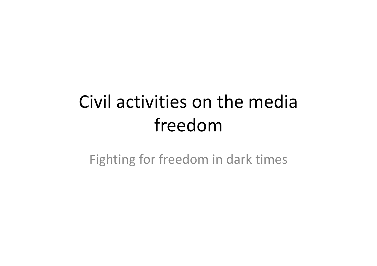# Civil activities on the media freedom

Fighting for freedom in dark times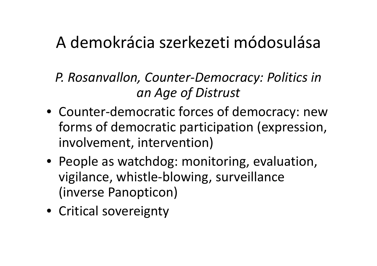### A demokrácia szerkezeti módosulása

- *P. Rosanvallon, Counter‐Democracy: Politics in an Age of Distrust*
- Counter‐democratic forces of democracy: new forms of democratic participation (expression, involvement, intervention)
- People as watchdog: monitoring, evaluation, vigilance, whistle‐blowing, surveillance (inverse Panopticon)
- Critical sovereignty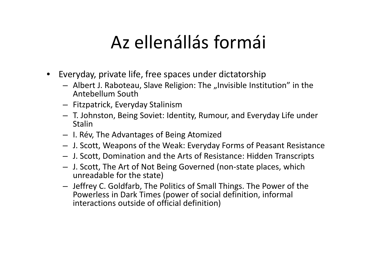## Az ellenállás formái

- • Everyday, private life, free spaces under dictatorship
	- $-$  Albert J. Raboteau, Slave Religion: The "Invisible Institution" in the Antebellum South
	- Fitzpatrick, Everyday Stalinism
	- T. Johnston, Being Soviet: Identity, Rumour, and Everyday Life under Stalin
	- I. Rév, The Advantages of Being Atomized
	- J. Scott, Weapons of the Weak: Everyday Forms of Peasant Resistance
	- J. Scott, Domination and the Arts of Resistance: Hidden Transcripts
	- J. Scott, The Art of Not Being Governed (non‐state places, which unreadable for the state)
	- Jeffrey C. Goldfarb, The Politics of Small Things. The Power of the Powerless in Dark Times (power of social definition, informal interactions outside of official definition)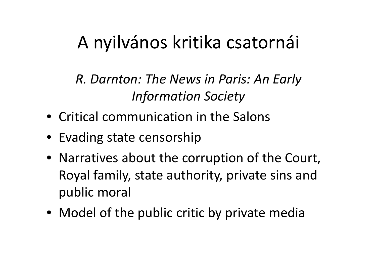## A nyilvános kritika csatornái

*R. Darnton: The News in Paris: An Early Information Society*

- Critical communication in the Salons
- Evading state censorship
- Narratives about the corruption of the Court, Royal family, state authority, private sins and public moral
- Model of the public critic by private media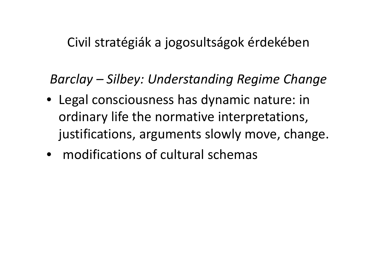#### Civil stratégiák a jogosultságok érdekében

#### Barclay – Silbey: Understanding Regime Change

- Legal consciousness has dynamic nature: in ordinary life the normative interpretations, justifications, arguments slowly move, change.
- modifications of cultural schemas